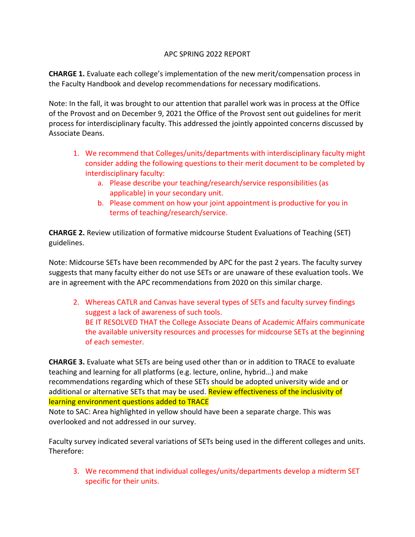## APC SPRING 2022 REPORT

**CHARGE 1.** Evaluate each college's implementation of the new merit/compensation process in the Faculty Handbook and develop recommendations for necessary modifications.

Note: In the fall, it was brought to our attention that parallel work was in process at the Office of the Provost and on December 9, 2021 the Office of the Provost sent out guidelines for merit process for interdisciplinary faculty. This addressed the jointly appointed concerns discussed by Associate Deans.

- 1. We recommend that Colleges/units/departments with interdisciplinary faculty might consider adding the following questions to their merit document to be completed by interdisciplinary faculty:
	- a. Please describe your teaching/research/service responsibilities (as applicable) in your secondary unit.
	- b. Please comment on how your joint appointment is productive for you in terms of teaching/research/service.

**CHARGE 2.** Review utilization of formative midcourse Student Evaluations of Teaching (SET) guidelines.

Note: Midcourse SETs have been recommended by APC for the past 2 years. The faculty survey suggests that many faculty either do not use SETs or are unaware of these evaluation tools. We are in agreement with the APC recommendations from 2020 on this similar charge.

2. Whereas CATLR and Canvas have several types of SETs and faculty survey findings suggest a lack of awareness of such tools. BE IT RESOLVED THAT the College Associate Deans of Academic Affairs communicate the available university resources and processes for midcourse SETs at the beginning of each semester.

**CHARGE 3.** Evaluate what SETs are being used other than or in addition to TRACE to evaluate teaching and learning for all platforms (e.g. lecture, online, hybrid…) and make recommendations regarding which of these SETs should be adopted university wide and or additional or alternative SETs that may be used. Review effectiveness of the inclusivity of learning environment questions added to TRACE

Note to SAC: Area highlighted in yellow should have been a separate charge. This was overlooked and not addressed in our survey.

Faculty survey indicated several variations of SETs being used in the different colleges and units. Therefore:

3. We recommend that individual colleges/units/departments develop a midterm SET specific for their units.